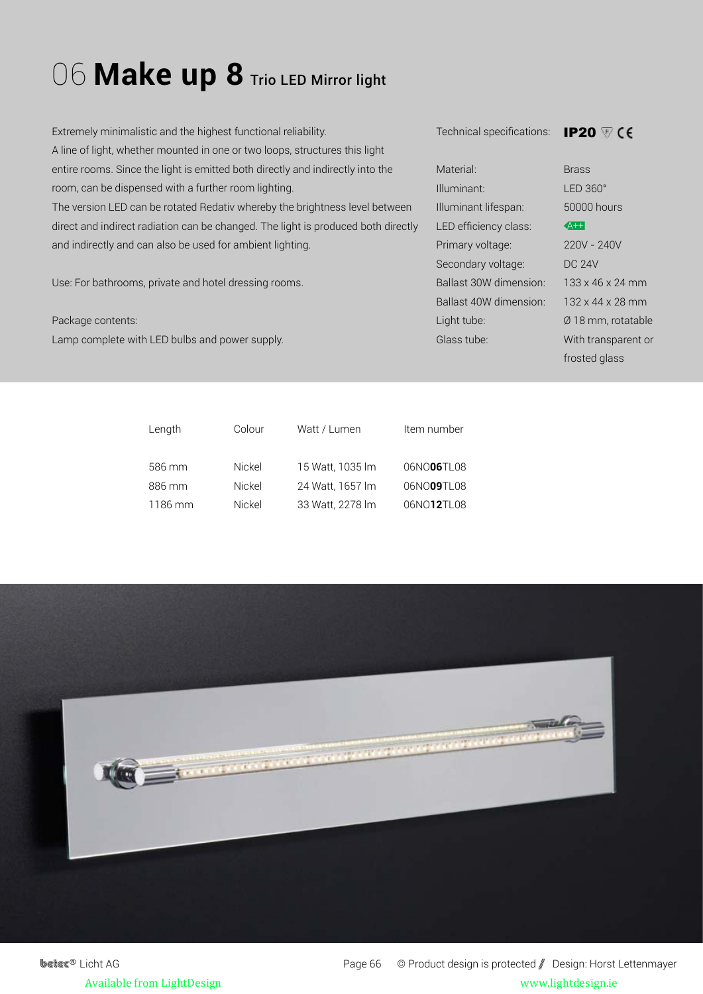## 06 Make up 8 Trio LED Mirror light

Extremely minimalistic and the highest functional reliability. A line of light, whether mounted in one or two loops, structures this light entire rooms. Since the light is emitted both directly and indirectly into the room, can be dispensed with a further room lighting. The version LED can be rotated Redativ whereby the brightness level between direct and indirect radiation can be changed. The light is produced both directly and indirectly and can also be used for ambient lighting.

Use: For bathrooms, private and hotel dressing rooms.

Package contents: Lamp complete with LED bulbs and power supply. Technical specifications: IP20

| Material <sup>.</sup>   | <b>Brass</b>                 |
|-------------------------|------------------------------|
| Illuminant <sup>.</sup> | $IFD.360^\circ$              |
| Illuminant lifespan:    | 50000 hours                  |
| LED efficiency class:   | $A++$                        |
| Primary voltage:        | 220V - 240V                  |
| Secondary voltage:      | DC 24V                       |
| Ballast 30W dimension:  | $133 \times 46 \times 24$ mm |
| Ballast 40W dimension:  | 132 x 44 x 28 mm             |
| Light tube:             | Ø 18 mm, rotatable           |
| Glass tube:             | With transparent or          |
|                         |                              |

n, rotatable frosted glass

| Colour | Watt / Lumen     | Item number |
|--------|------------------|-------------|
|        |                  |             |
| Nickel | 15 Watt, 1035 lm | 06NO06TL08  |
| Nickel | 24 Watt, 1657 lm | 06NO09TL08  |
| Nickel | 33 Watt. 2278 lm | 06NO12TL08  |
|        |                  |             |



**betec<sup>®</sup>** Licht AG Page 66 © Product design is protected / Design: Horst Lettenmayer Available from LightDesign www.lightdesign.ie